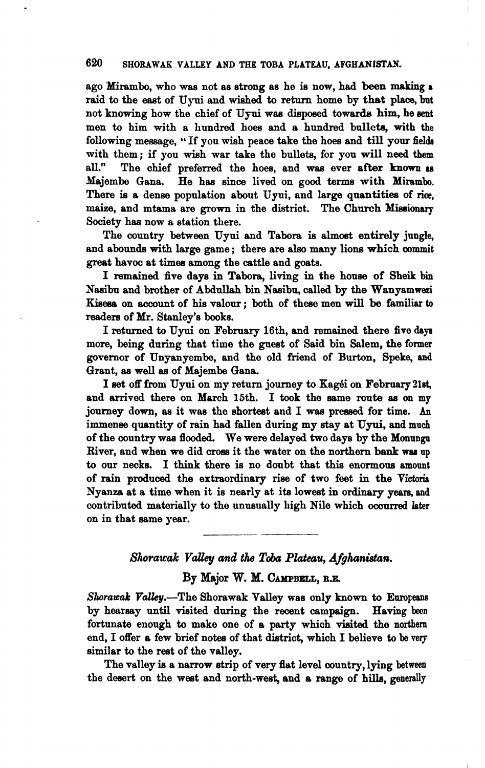#### 620 SHORAWAK VALLEY AND THE TOBA PLATEAU, AFGHANISTAN.

ago 'Mirambo, who was not as strong **ae** he is now, had **been** *making r*  raid to the east of Uyui and wished to return home by that place, but not knowing how the chief of Ujui waa disposed towardis him, he **sent**  men to him with a hundred hoes and a hundred bnllcta, with the following message, "If you wish peace take the hoes and till your fields with them; if you wish war take the bullets, for you will need them all." The chief preferred the hoes and was ever after known as The chief preferred the hoes, and was ever after known as Majembe Gana. He haa since lived on **good** terms with **Mirambo.**  There **is** a dense population about Uyui, and large **qnsntitiea** of rice, maize, and mtama are **grown** in the district. The Church **Missionary**  Society has now a station there.

The country between Uyui and Tabora is almost entirely jungle, and abounda with large game; there are also many lions which **commit**  great havoc at times among the cattle and **goats.** 

I remained five days in Tabora, living in the house of Sheik bin Naaibu and brother of **Abdullah** bin Nasibu, called by the Wanyamwezi Kisesa on account of his valour; both of these men will be familiar to readers of Mr. Stanley's books.

I returned to Uyui on February 16th, and remained there five days more, being during that time the guest of Said bin Salem, the former governor of Unyanyembe, and the old friend of Burton, Speke, and Grant, **as** well **as** of Majembe Gana.

I set off from Uyui on my return journey to Kagéi on February 21st, and arrived there on March 15th. I took the same route as on my journey down, as it was the shortest and I was pressed for time. An immense quantity of rain had fallen during my stay at Uyui, and much of the country waa flooded. We were delayed two days by the **Momngn**  River, and when we did cross it the water on the northern bank was up to our necks. I think there is no doubt that this enormous amount of rain **produced** the extraordinary **rim** of two feet in the **Victoris**  Nyanza at a time when it is nearly at its lowest in ordinary years, and contributed materially to the unusually high Nile which occurred later on in that same **year.** 

### *Shorawak Valley and the Toba Plateau, Afghanistan.*

# By Major W. **M. CAMPBELL, B.E.**

*Slurawak* Valky.-The Shorawak Valley was only known to **Europeans**  by hearsay **until** visited during the recent campaign. Having been fortunate enough to make one of a party which visited the northern end, I offer a few brief notee of that dietrict, which I believe to be **very**  similar to the rest of the valley.

The valley **ia** a narrow strip of very flat level country, lying **between**  the **deeert** on the west and north-west, and a range of hills, **generally**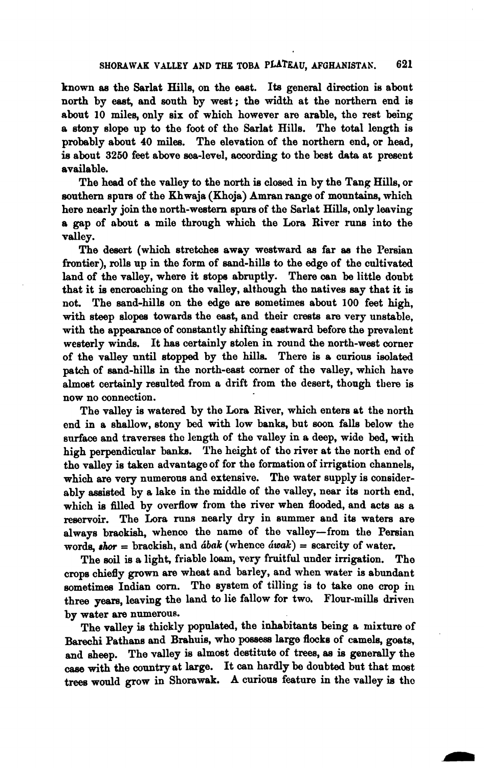known **aa** the Sarlat Hills, on the eaet. **Ita** general direction is about north by **eaat,** and south by west; the width at the northern end is about **10 miles,** only six of which however are arable, the rest being a stony slope up to the foot of the Sarlet Hills. The total length is probably about 40 **milea.** The elevation of the northern end, or head, is about 3250 feet above sea-level, according to the best data at present available.

The head of the valley to the north **ie** closed in by the Tang Hills, or southern spurs of the Khwaja (Khoja) Amran range of mountains, which here nearly join the north-western spare of the Sarlat Hills, only leaving a gap of about a mile through which the Lora River runs into the valley.

The desert (whioh stretches away westward **aa** far **as** the Persian frontier), rolls up in the form of sand-hills to the edge of the cultivated land of the valley, where it stops abruptly. There can be little doubt that it **ie** encroaching on the valley, although the natives say that it is not. The sand-hills on the edge are sometimes about 100 feet high, with steep slopes towards the east, and their crests are very unstable, with the appearance of constantly shifting eastward before the prevalent westerly winds. It **has** certainly stolen in round the north-west corner of the valley until stopped by the **hilla** There is a curious ieolated patch of sand-hills in the north-east corner of the valley, which hare almost certainly resulted from a drift from the desert, though there is now no connection.

The valley **is** watered by the **Lora** River, which enters at the north ond in a shallow, stony bed with low banks, but soon falls below the surface and traverses tho length of the valley in a deep, wide bed, with high perpendicular banks. The height of tho river at the north end of tho valley is taken advantage of for the formation of irrigation channels, which are very numerous and extensive. The water supply is considerably assisted by a lake in the middle of the valley, near its north end, which **ie filled** by overflow from the river when flooded, and acts as a reservoir. The Lora runs nearly dry in summer and its waters are always brackish, whenco the name of the valley-from the Persian words,  $\mathit{short} = \text{brackish}$ , and  $\mathit{dbak}$  (whence  $\mathit{dwak}$ ) = scarcity of water.

The soil is a light, friable loam, very fruitful under irrigation. The crops chiefly **grown** are wheat and barley, and when water is abundant sometimes Indian corn. The system of tilling is to take one crop in three years, leaving the land to lie fallow for two. Flour-mills driven by water are numerous.

The valley is thickly populated, the inhabitants being a mixture of Barechi Pathans and Brahuis, who possess large flocks of camels, goats, by water are numerous.<br>The valley is thickly populated, the inhabitants being a mixture of Barechi Pathans and Brahuis, who possess large flocks of camels, goats, and sheep. The valley is almost destitute of trees, as is g trees would grow in Shorawak. A curious feature in the valley is the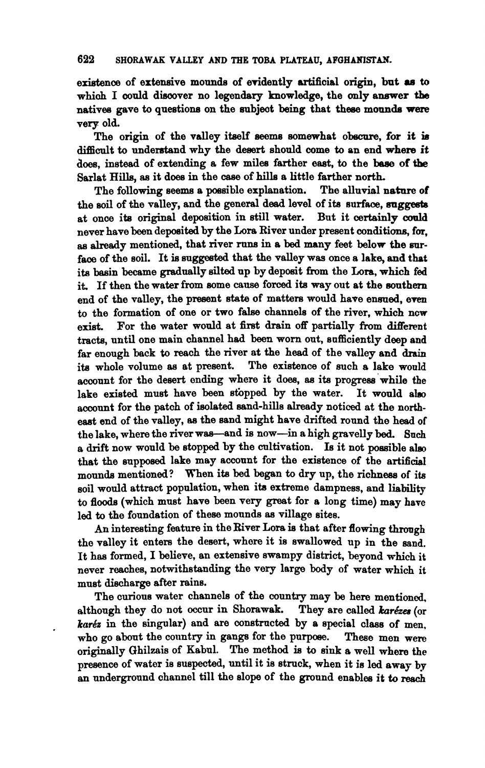#### 622 SHORAWAK VALLEY AND THE TOBA PLATEAU, AFGHANISTAN.

existence of extensive mounds of evidently artificial origin, but as to which I could discover no legendary knowledge, the only answer the natives gave to questions on the subject being that these mounds were very old.

The origin of the valley itself seems somewhat obscure, for it is difficult to understand why the desert should come to an end where it does, instead of extending a few miles farther east, to the base of the Sarlat Hills, aa it does in the **case** of hills a little farther north.

The following seems a possible explanation. the soil of the valley, and the general dead level of ita surface, **wggeeta**  at once its original deposition in still water. But it certainly could never have been deposited by the Lora River under present conditions, for, **as** already mentioned, that river runs in a **bed** many feet below the **mu**face of the soil. It is suggested that the valley was once a lake, and that its basin became gradually silted up by deposit from the Lora, which fed it. If then the water from some **cause** forced its way out at the southern end of the valley, the present state of matters would have ensued, even to the formation of one or two false channels of the river, which ncw exist. For the water would at first drain off partially from different tracts, until one main channel had been worn out, sufficiently deep and far enough back to reach the river at the head of the valley and **drain**  its whole volume as at present. The existence of such a lake would account for the desert onding where it does, **as** its progreas'while the lake existed must have been stopped by the water. It would also account for the patch of isolated sand-hills elready noticed at the northeast end of the valley, **ae** the sand might have drifted round the head of the lake, where the river was-and is now-in a high gravelly bed. Such a drift now wonld be stopped by the cultivation. **Is** it not possible ah that the supposed lake may account for the existence of the artificial mounds mentioned? When its bed began to dry up, the richness of its soil would attract population, when its extreme dampness, and **liability**  to floods (which must have been very great for a long time) may have led to the foundation of these mounds **as** village sites.

An interesting feature in the River Lora is that after flowing through tho valley it enters the desert, whore it is swallowed up in the and. It haa formed, I believe, an extensive swampy district, beyond which it never reaches, notwithstanding the very large **body** of water which **it**  must diecharge after rains.

The curious water channels of the country may be here mentioned. although they do not occur in Shorawak. They are called *karézes* (or karéz in the singular) and are constructed by a special class of men, who go about the country in gangs for the purpose. These men were originally Ghilzais of Kabul. The method **ia** to sink a well where **the**  presence of water is suspeded, until it is struck, when it is led away **by**  an underground channel till the slope of the ground enables it to reach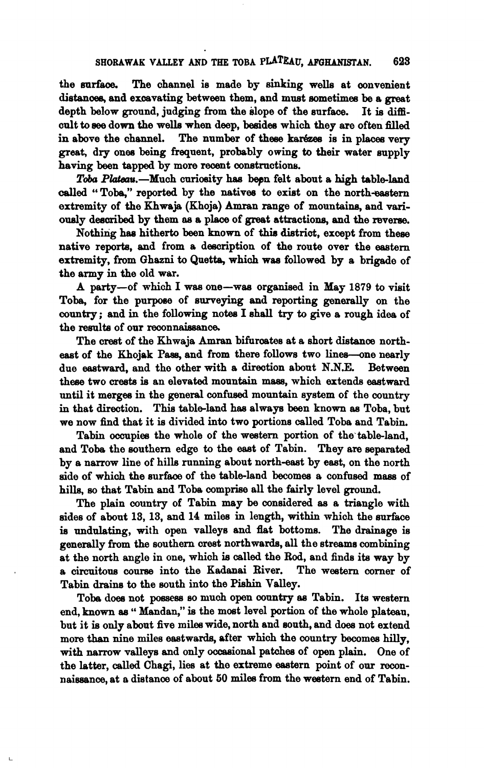the **wrfeoe.** The channel is made by sinking wells at convenient distances, and excavating between them, and must sometimes be a great depth below ground, judging from the slope of the surface. It **ie** difficult to see down the wells when deep, besides which they are often filled<br>in above the channel. The number of these karézes is in places very The number of these karézes is in places very **great,** dry ones being frequent, probably owing to their water supply having been tapped by more recent constructions.

Toba Plateau.-Much curiosity has been felt about a high table-land **called** " Toba," reported by the natives to exist on the north-eastern extremity of the Khwaja (Khoja) Amran range of mountains, and variody desoribed by them **an** a place of great attractions, **and** the reverse.

Nothing has hitherto been known of thin **dietriot,** except from these native reports, and from a description of the route over the eastern extremity, from Ghazni to Quetta, which was followed by a brigade of the army in the old war.

A party-of which I **was** one-wee organieed in May 1879 to vieit Toba, for the purpose of surveying and reporting generally on the country; and in the following notes I shall try to give a rough idea of the results of our reconnaissance.

The crest of the Khwaja Amran bifurcates at a short distance northeast of the Khojak Pass, and from there follows two lines--one nearly due eastward, and the other with a direction about N.N.E. Between due eastward, and the other with a direction about N.N.E. these two crests **ie** an elevated mountain maas, which extends eastward until it merges in the general **confused** mountain system of the country in that direction. This table-land has always been known as Toba, but we now find that it is divided into two portions called Toba and Tabin.

Tabin ocaupies the whole of the western portion of the'tableland, and Toba the southern edge to the east of Tabin. They are **separatad**  by a narrow line of hille running about north-east by east, on the north side of which the surface of the table-land becomes a confused mass of hills, so that Tabin and Toba comprise **all** the fairly level ground.

The plain country of Tabin may be considered as a triangle with ades of about 13, 13, and 14 miles in length, within which the **surface**  is undulating, with open valleys and flat bottoms. The **drainage** is generally from **the** southern crest northwards, all the streame combining at the north angle in one, which is called the Rod, and finds its way by<br>a circuitous course into the Kadanai River. The western corner of a circuitous course into the Kadanai River. Tabii **draine** to the south into the **Piehin** Valley.

Tobe doea not **possese eo** much open country **ae** Tabin. Its westem end, known as "Mandan," is the most level portion of the whole plateau. but it **ie** only about five **milee** wide, north and south, and doea not extend more than nine miles eastwards, after which the country becomes hilly, with narrow valleys and only occasional patches of open plain. One of the latter, called Chagi, lies at the extreme eastern point of our reconnaissance, at a distance of about 50 miles from the western end of Tabin.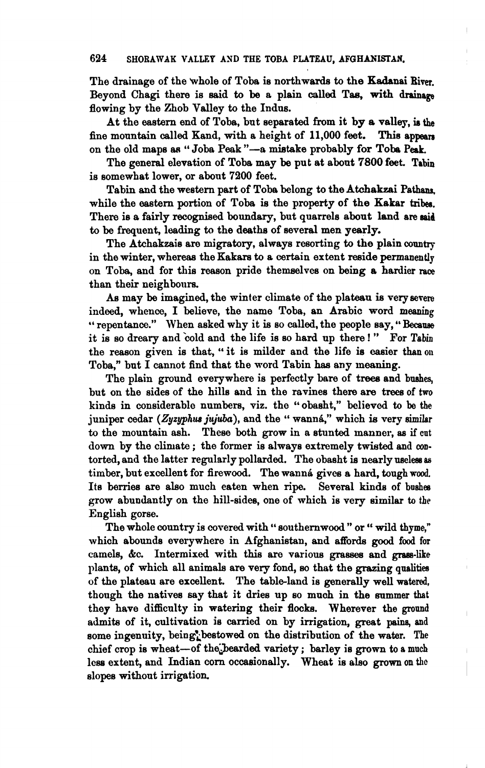The drainage of the whole of Toba is northwards to the Kadanai Biver. Beyond Chagi there is said to be a plain called Tas, with drainage flowing by the Zhob Valley to the Indns.

At the eastern end of Toba, but separated from it by a valley, **ia the**  fine mountain called Kand, with a height of 11,000 feet. This appears on the old maps as "Joba Peak "-a mistake probably for Toba Peak.

The general elevation of Toba may be put at about 7800 feet. Tabin is somewhat lower, or abont 7200 feet.

Tabin and the western part of Toba belong to the **Atchakzai Pathana,**  while the eastern portion of Toba is the property of the Kakar tribes. There is a fairly recognised boundary, but quarrels about land are **mid**  to be frequent, **leading** to the deetha of several men yearly.

The Atchakzais are migratory, always resorting to the plain **oountrj**  in the winter, whereas the Kakars to a certain extent reside permanently on Toba, and for **this** reason pride themselves on **being** a hardier **race**  than their neighbours.

As may be imagined, the winter climate of the plateau is very **severe**  indeed, whence, I believe, the name Toba, an Arabic word **meaning**  " repentance." When asked why it is so called, the people say, "Because it is so dreary and cold and the life is so hard up there !" For Tabin the reason given is that, "it is milder and the life is easier than on Toba," but I cannot find that the word Tabin has any **meaning.** 

The plain ground everywhere is perfectly bare of trees and bushes, but on the sides of the hills and in the ravines there are trees **of** two kinds in considerable numbers, viz. the '' obasht," believed to be the juniper cedar (Zyzyphus jujuba), and the " wanná," which is very similar to the mountain aah. These both grow in a stuntad manner, as if **cut**  down by the climate ; the former is always extremely **twisted** and **con**torted, and the latter regularly pollarded. The obasht is nearly useless as timber, but excellent for firewood. The wanna gives a hard, tough wood. Its berries are also much eaten when ripe. Several kinds of boshes grow abundantly on the hill-sides, one of which is very similar to **the**  English gorse.

The whole country is covered with " southernwood " or " wild thyme," which abounds everywhere in Afghanistan, and afforde good food **for**  camels, kc. Intermixed with this are varioue grasses and **gass-like**  plants, of which all animals are very fond, **so** that the grazing qualities of the plateau are excellent. The table-land is generally well **watered,**  though the natives say that it dries up so muoh in the **summer** that they have difficulty in watering their flocks. Wherever the ground admits of it, cultivation is carried on by irrigation, great pains, and some ingenuity, being\*bestowed on the distribution of the water. The chief crop is wheat-of the bearded variety; barley is grown to a much less extent, and Indian corn occasionally. Wheat is also **grown on thc**  slopes without irrigation.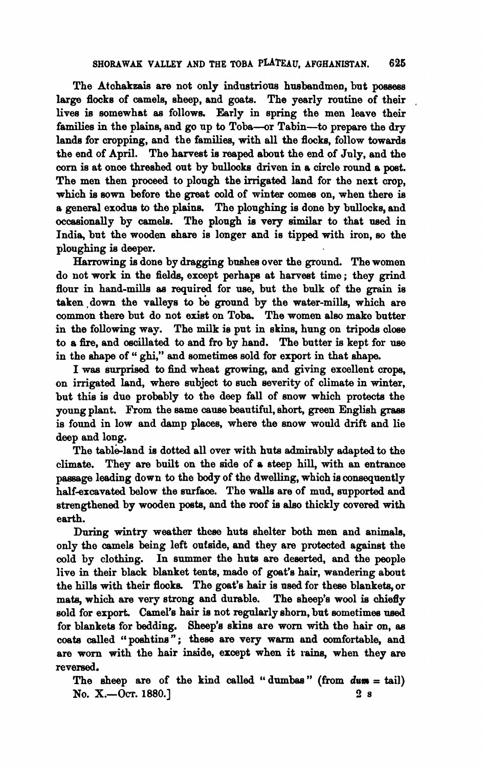The Atohakeais are not only industriow husbandmen, but **possess**  large flocks of camels, sheep, and goats. The yearly routine of their lives is somewhat **as** follows. Early in spring the men leave their families in the plains, and go up to Toba--or Tabin--to prepare the dry lands for cropping, and the families, with all the flocks, follow towards the end of April. The harvest is reaped about the end of July, and the corn is at once threshed out by bullooks driven in a circle round a post. The men then proceed to plough the irrigated land for the next crop, which is sown before the great cold of winter comes on, when there is a general exodus to the plains. The ploughing is done by bullocks, and occasionally by camels. The plough is very similar to that used in India, but the wooden **&are** is longer **and** is tipped with iron, so the ploughing **ie** deeper.

Harrowing is done by dragging bushes over the ground. The women do not work in the **fields,** except perhape at harvest time ; they grind flour in hand-mills **as** required for **use,** but the bulk of the grain **is**  taken down the valleys to be ground by the water-mills, which are common there but do not exist on Toba. The women also make butter in the following way. The milk is put in skins, hung on tripods olose to a fire, and oeoillated to and fro by hand. The butter **is** kept for **use**  in the shape of " ghi," and sometimes sold for export in that shape.

I was surprised to find wheat growing, and giving excellent crops, on irrigated land, where subject to such severity of climate in winter, but this is due probably to the deep fall of snow which protede the young plant. From the same **cause** beautiful, short, green English graes is found in low and damp places, where the snow would drift and lie deep and long.

The table-land is dotted all over with huts admirably adapted to the climate. They are built on the side of a steep hill, with an entrance **pasaage** leading down to the **body** of the dwelling, which **ia** consequently half-excavated below the surface. The walls are of mud, supported and strengthened by wooden posts, and the roof is also thickly covered with earth.

During wintry weather these huts shelter both men and animals, only the camels being left outside, and they are protected against the cold by clothing. In summer the huta **are** deserted, and the people live in their black blanket tents, made of goat's hair, wandering about the hills with their flocks. The goat's hair is used for these blankets or mats, which are very strong and durable. The sheep's wool is chiefly sold for export. Camel's hair is not regularly shorn, but sometimes used for blankets for holding. Sheep's skins are worn with the hair on as for blankets for bedding. Sheep's skins are worn with the hair on, as coats called "poshtins"; these are very warm and comfortable, and are worn with the hair inside, except when it rains, when they are reversed.

The sheep are of the kind called " dumbas " **(from durn** = tail) NO. **X.-Om.** 1880.1 **2** s